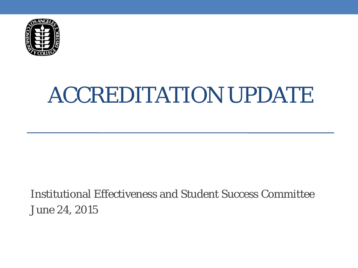

# ACCREDITATION UPDATE

Institutional Effectiveness and Student Success Committee June 24, 2015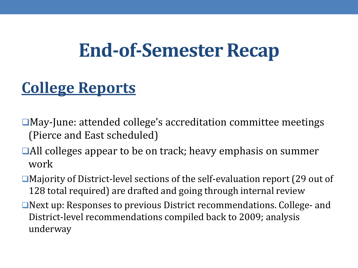## **End-of-Semester Recap**

### **College Reports**

- ■May-June: attended college's accreditation committee meetings (Pierce and East scheduled)
- ■All colleges appear to be on track; heavy emphasis on summer work
- ■Majority of District-level sections of the self-evaluation report (29 out of 128 total required) are drafted and going through internal review
- Next up: Responses to previous District recommendations. College- and District-level recommendations compiled back to 2009; analysis underway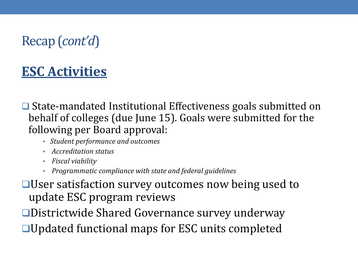#### Recap (*cont'd*)

#### **ESC Activities**

**□** State-mandated Institutional Effectiveness goals submitted on behalf of colleges (due June 15). Goals were submitted for the following per Board approval:

- *Student performance and outcomes*
- *Accreditation status*
- *Fiscal viability*
- *Programmatic compliance with state and federal guidelines*

User satisfaction survey outcomes now being used to update ESC program reviews

Districtwide Shared Governance survey underway ■Updated functional maps for ESC units completed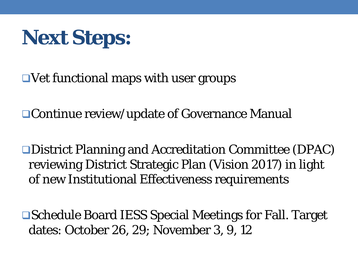

 $\Box$  Vet functional maps with user groups

Continue review/update of Governance Manual

District Planning and Accreditation Committee (DPAC) reviewing District Strategic Plan (Vision 2017) in light of new Institutional Effectiveness requirements

Schedule Board IESS Special Meetings for Fall. Target dates: October 26, 29; November 3, 9, 12